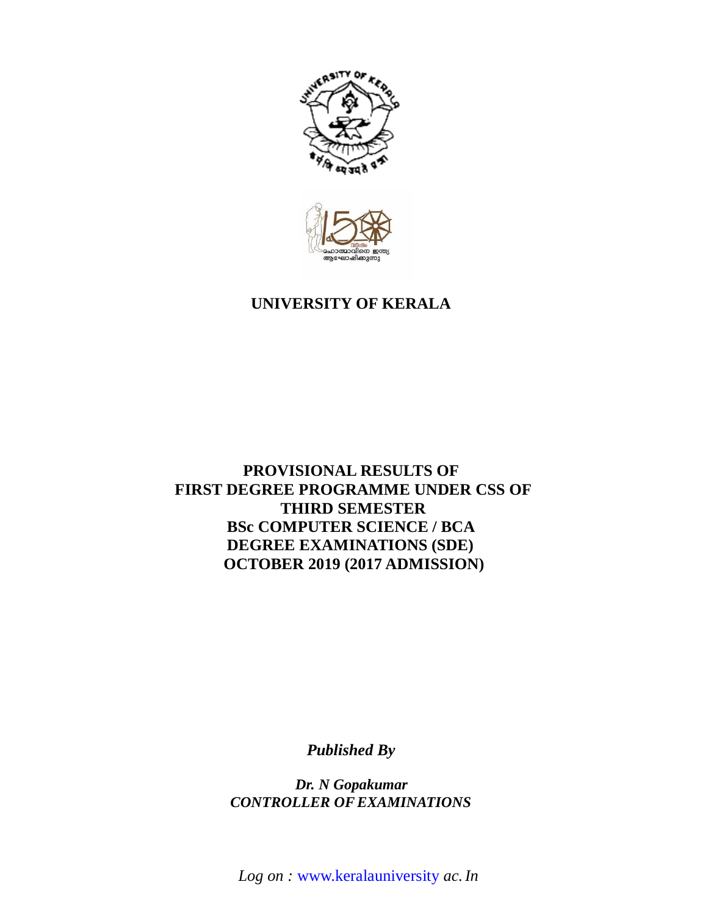



# **UNIVERSITY OF KERALA**

# **PROVISIONAL RESULTS OF FIRST DEGREE PROGRAMME UNDER CSS OF THIRD SEMESTER BSc COMPUTER SCIENCE / BCA DEGREE EXAMINATIONS (SDE) OCTOBER 2019 (2017 ADMISSION)**

*Published By*

*Dr. N Gopakumar CONTROLLER OFEXAMINATIONS*

*Log on :* www.keralauniversity *ac.In*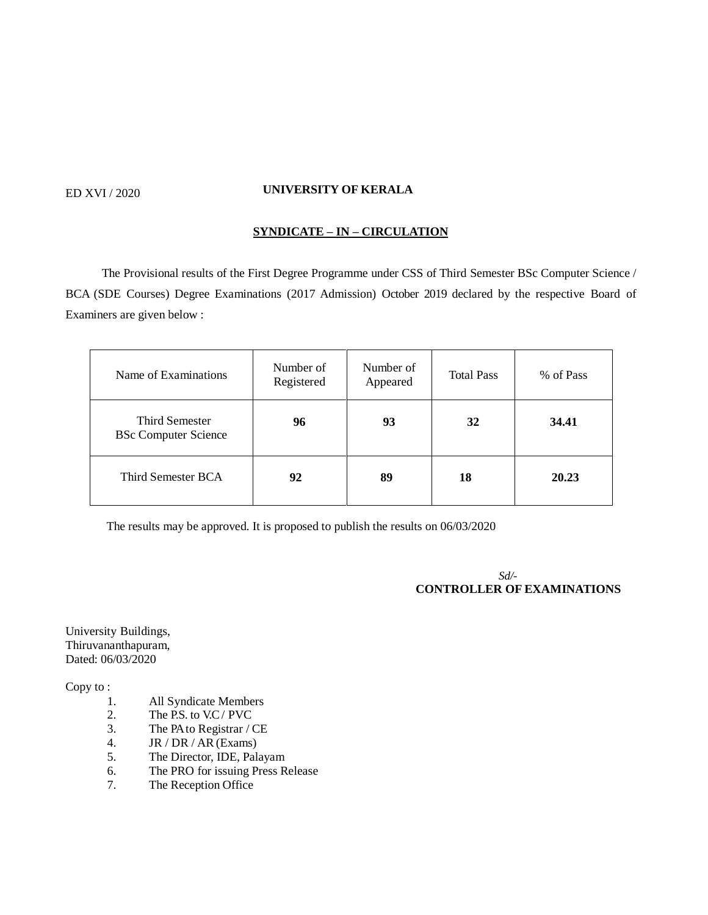## ED XVI / 2020 **UNIVERSITY OF KERALA**

## **SYNDICATE – IN – CIRCULATION**

 The Provisional results of the First Degree Programme under CSS of Third Semester BSc Computer Science / BCA (SDE Courses) Degree Examinations (2017 Admission) October 2019 declared by the respective Board of Examiners are given below :

| Name of Examinations                          | Number of<br>Registered | Number of<br>Appeared | <b>Total Pass</b> | % of Pass |
|-----------------------------------------------|-------------------------|-----------------------|-------------------|-----------|
| Third Semester<br><b>BSc Computer Science</b> | 96                      | 93                    | 32                | 34.41     |
| Third Semester BCA                            | 92                      | 89                    | 18                | 20.23     |

The results may be approved. It is proposed to publish the results on 06/03/2020

 *Sd/-* **CONTROLLER OF EXAMINATIONS**

University Buildings, Thiruvananthapuram, Dated: 06/03/2020

Copy to :

- 1. All Syndicate Members
- 2. The P.S. to V.C / PVC
- 3. The PA to Registrar / CE
- 4. JR / DR / AR (Exams)
- 5. The Director, IDE, Palayam
- 6. The PRO for issuing Press Release
- 7. The Reception Office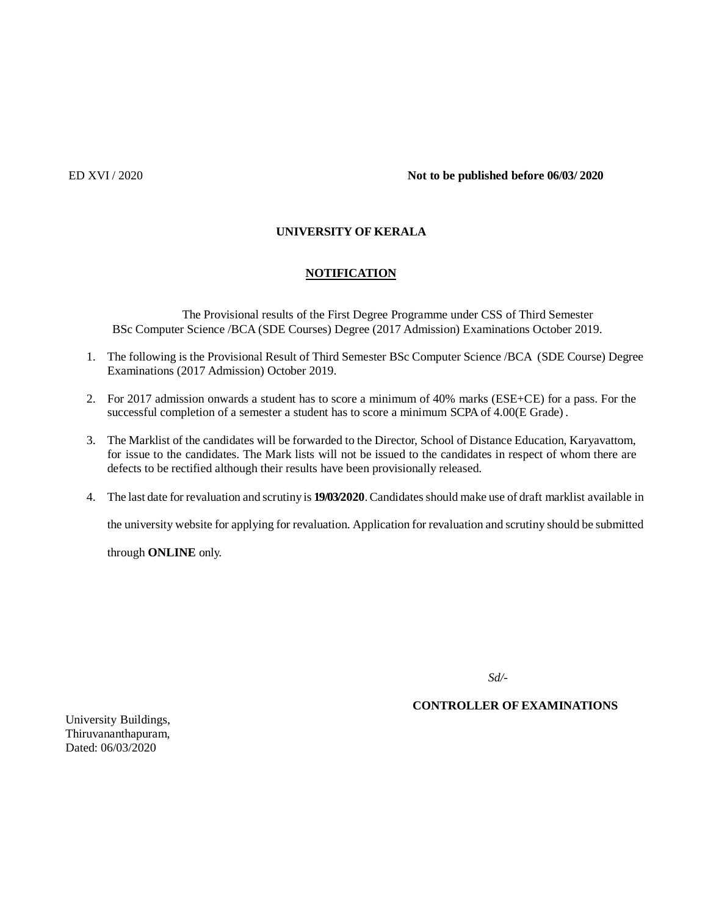## **UNIVERSITY OF KERALA**

## **NOTIFICATION**

 The Provisional results of the First Degree Programme under CSS of Third Semester BSc Computer Science /BCA (SDE Courses) Degree (2017 Admission) Examinations October 2019.

- 1. The following is the Provisional Result of Third Semester BSc Computer Science /BCA (SDE Course) Degree Examinations (2017 Admission) October 2019.
- 2. For 2017 admission onwards a student has to score a minimum of 40% marks (ESE+CE) for a pass. For the successful completion of a semester a student has to score a minimum SCPA of 4.00(E Grade) .
- 3. The Marklist of the candidates will be forwarded to the Director, School of Distance Education, Karyavattom, for issue to the candidates. The Mark lists will not be issued to the candidates in respect of whom there are defects to be rectified although their results have been provisionally released.
- 4. The last date for revaluation and scrutiny is **19/03/2020**.Candidatesshould make use of draft marklist available in

the university website for applying for revaluation. Application for revaluation and scrutiny should be submitted

through **ONLINE** only.

*Sd/-*

## **CONTROLLER OF EXAMINATIONS**

University Buildings, Thiruvananthapuram, Dated: 06/03/2020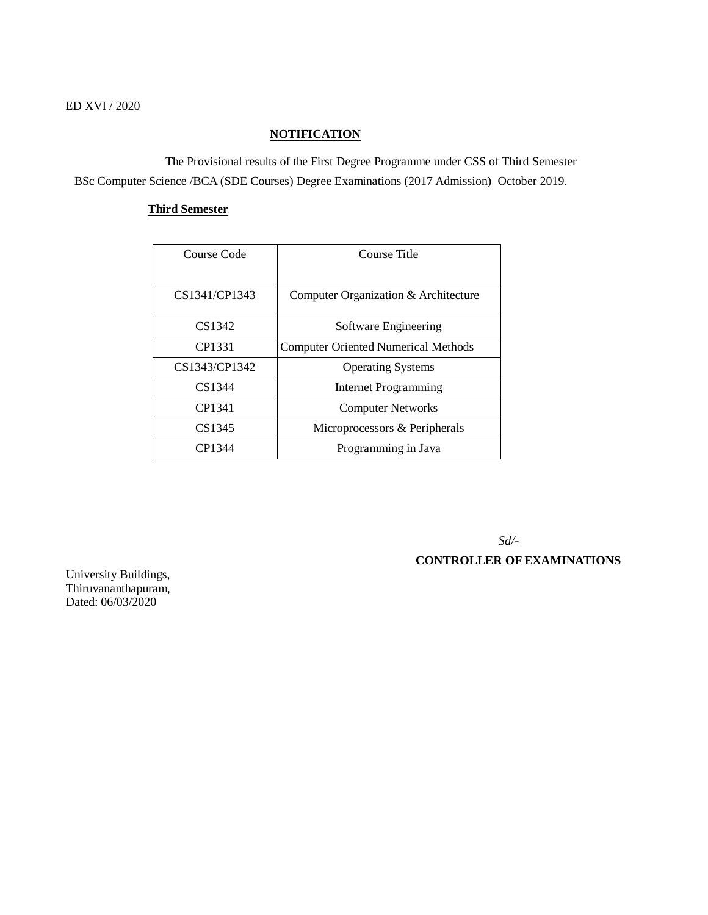## **NOTIFICATION**

 The Provisional results of the First Degree Programme under CSS of Third Semester BSc Computer Science /BCA (SDE Courses) Degree Examinations (2017 Admission) October 2019.

## **Third Semester**

| Course Code   | Course Title                               |
|---------------|--------------------------------------------|
| CS1341/CP1343 | Computer Organization & Architecture       |
| CS1342        | Software Engineering                       |
| CP1331        | <b>Computer Oriented Numerical Methods</b> |
| CS1343/CP1342 | <b>Operating Systems</b>                   |
| CS1344        | <b>Internet Programming</b>                |
| CP1341        | <b>Computer Networks</b>                   |
| CS1345        | Microprocessors & Peripherals              |
| CP1344        | Programming in Java                        |

 *Sd/-*

## **CONTROLLER OF EXAMINATIONS**

University Buildings, Thiruvananthapuram, Dated: 06/03/2020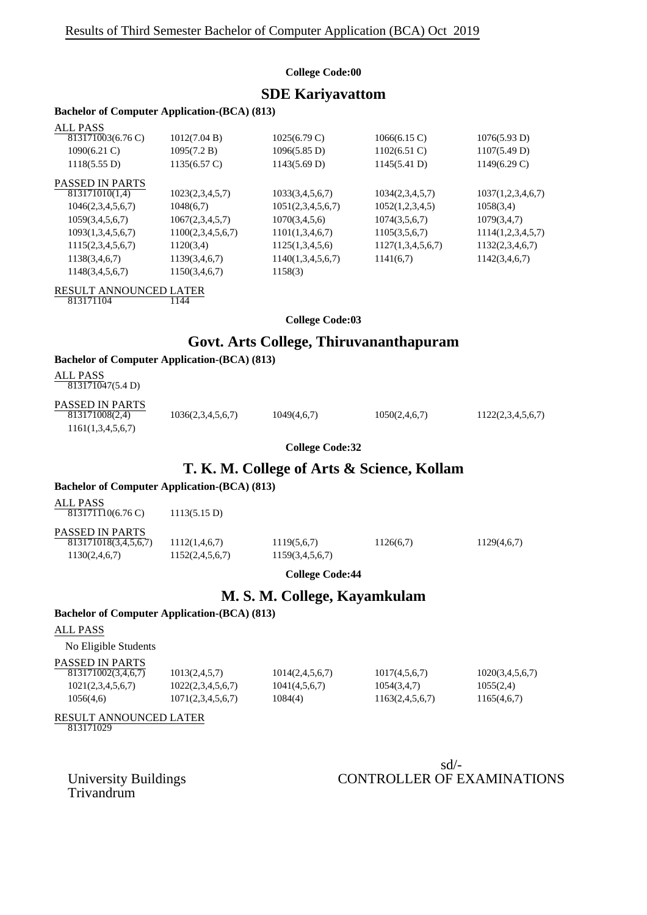#### **College Code:00**

## **SDE Kariyavattom**

## **Bachelor of Computer Application-(BCA) (813)**

| ALL PASS               |                        |                        |                   |                        |
|------------------------|------------------------|------------------------|-------------------|------------------------|
| 813171003(6.76 C)      | 1012(7.04 B)           | $1025(6.79 \text{ C})$ | 1066(6.15)        | 1076(5.93 D)           |
| $1090(6.21)$ C)        | 1095(7.2 B)            | 1096(5.85 D)           | $1102(6.51)$ C)   | 1107(5.49 D)           |
| 1118(5.55 D)           | $1135(6.57 \text{ C})$ | 1143(5.69 D)           | 1145(5.41 D)      | $1149(6.29 \text{ C})$ |
| <b>PASSED IN PARTS</b> |                        |                        |                   |                        |
| 813171010(1,4)         | 1023(2,3,4,5,7)        | 1033(3,4,5,6,7)        | 1034(2,3,4,5,7)   | 1037(1,2,3,4,6,7)      |
| 1046(2,3,4,5,6,7)      | 1048(6,7)              | 1051(2,3,4,5,6,7)      | 1052(1,2,3,4,5)   | 1058(3,4)              |
| 1059(3,4,5,6,7)        | 1067(2,3,4,5,7)        | 1070(3,4,5,6)          | 1074(3,5,6,7)     | 1079(3,4,7)            |
| 1093(1,3,4,5,6,7)      | 1100(2,3,4,5,6,7)      | 1101(1,3,4,6,7)        | 1105(3,5,6,7)     | 1114(1,2,3,4,5,7)      |
| 1115(2,3,4,5,6,7)      | 1120(3,4)              | 1125(1,3,4,5,6)        | 1127(1,3,4,5,6,7) | 1132(2,3,4,6,7)        |
| 1138(3,4,6,7)          | 1139(3,4,6,7)          | 1140(1,3,4,5,6,7)      | 1141(6,7)         | 1142(3,4,6,7)          |
| 1148(3,4,5,6,7)        | 1150(3,4,6,7)          | 1158(3)                |                   |                        |
|                        |                        |                        |                   |                        |

RESULT ANNOUNCED LATER 813171104

**College Code:03**

## **Govt. Arts College, Thiruvananthapuram**

#### **Bachelor of Computer Application-(BCA) (813)**

| ALL PASS          |  |
|-------------------|--|
| 813171047(5.4 D)  |  |
| DA CCED IN DA DTC |  |

| PASSED IN PARTS   |                   |             |               |                   |
|-------------------|-------------------|-------------|---------------|-------------------|
| 813171008(2,4)    | 1036(2,3,4,5,6,7) | 1049(4,6,7) | 1050(2,4,6,7) | 1122(2,3,4,5,6,7) |
| 1161(1,3,4,5,6,7) |                   |             |               |                   |

**College Code:32**

## **T. K. M. College of Arts & Science, Kollam**

#### **Bachelor of Computer Application-(BCA) (813)**

| ALL PASS<br>813171110(6.76 C)           | 1113(5.15 D)    |                 |           |             |
|-----------------------------------------|-----------------|-----------------|-----------|-------------|
| PASSED IN PARTS<br>813171018(3,4,5,6,7) | 1112(1,4,6,7)   | 1119(5,6,7)     | 1126(6,7) | 1129(4,6,7) |
| 1130(2,4,6,7)                           | 1152(2,4,5,6,7) | 1159(3,4,5,6,7) |           |             |
|                                         |                 |                 |           |             |

**College Code:44**

# **M. S. M. College, Kayamkulam**

## **Bachelor of Computer Application-(BCA) (813)**

#### ALL PASS

No Eligible Students

| PASSED IN PARTS<br>813171002(3,4,6,7)<br>1021(2,3,4,5,6,7)<br>1056(4,6) | 1013(2,4,5,7)<br>1022(2,3,4,5,6,7)<br>1071(2,3,4,5,6,7) | 1014(2,4,5,6,7)<br>1041(4,5,6,7)<br>1084(4) | 1017(4,5,6,7)<br>1054(3,4,7)<br>1163(2,4,5,6,7) | 1020(3,4,5,6,7)<br>1055(2,4)<br>1165(4,6,7) |
|-------------------------------------------------------------------------|---------------------------------------------------------|---------------------------------------------|-------------------------------------------------|---------------------------------------------|
|                                                                         |                                                         |                                             |                                                 |                                             |

RESULT ANNOUNCED LATER

813171029

Trivandrum

sd/- University Buildings CONTROLLER OF EXAMINATIONS